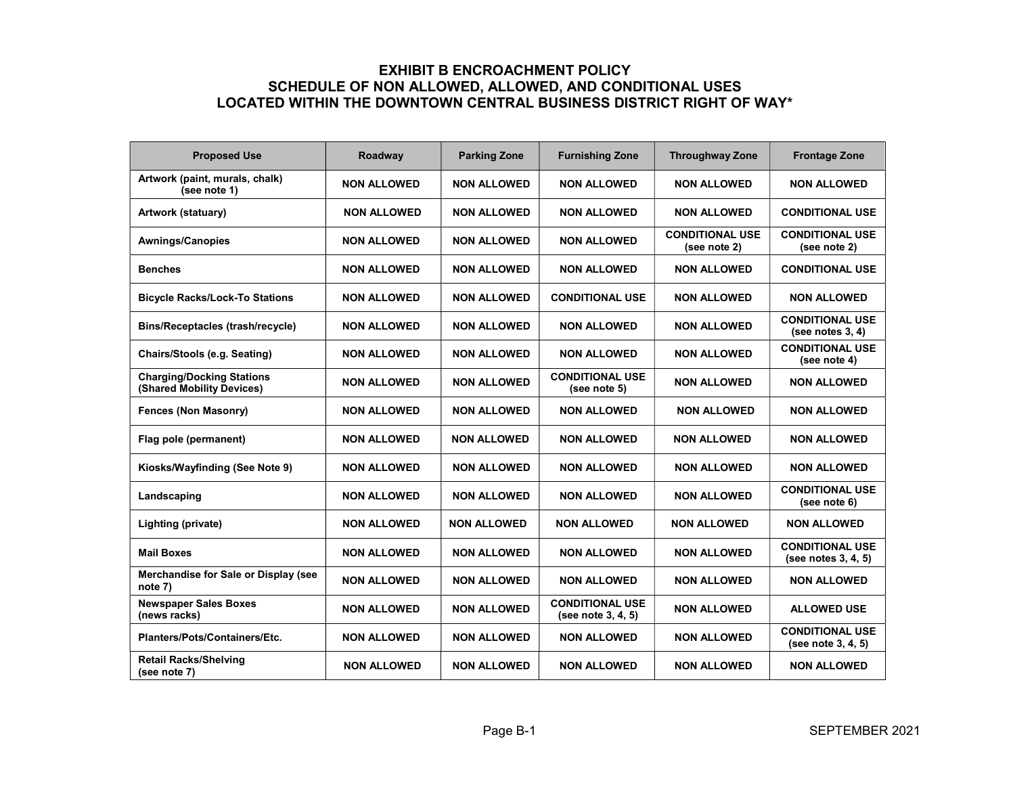## EXHIBIT B ENCROACHMENT POLICY SCHEDULE OF NON ALLOWED, ALLOWED, AND CONDITIONAL USES LOCATED WITHIN THE DOWNTOWN CENTRAL BUSINESS DISTRICT RIGHT OF WAY\*

| <b>Proposed Use</b>                                           | Roadway            | <b>Parking Zone</b> | <b>Furnishing Zone</b>                       | <b>Throughway Zone</b>                 | <b>Frontage Zone</b>                          |
|---------------------------------------------------------------|--------------------|---------------------|----------------------------------------------|----------------------------------------|-----------------------------------------------|
| Artwork (paint, murals, chalk)<br>(see note 1)                | <b>NON ALLOWED</b> | <b>NON ALLOWED</b>  | <b>NON ALLOWED</b>                           | <b>NON ALLOWED</b>                     | <b>NON ALLOWED</b>                            |
| Artwork (statuary)                                            | <b>NON ALLOWED</b> | <b>NON ALLOWED</b>  | <b>NON ALLOWED</b>                           | <b>NON ALLOWED</b>                     | <b>CONDITIONAL USE</b>                        |
| <b>Awnings/Canopies</b>                                       | <b>NON ALLOWED</b> | <b>NON ALLOWED</b>  | <b>NON ALLOWED</b>                           | <b>CONDITIONAL USE</b><br>(see note 2) | <b>CONDITIONAL USE</b><br>(see note 2)        |
| <b>Benches</b>                                                | <b>NON ALLOWED</b> | <b>NON ALLOWED</b>  | <b>NON ALLOWED</b>                           | <b>NON ALLOWED</b>                     | <b>CONDITIONAL USE</b>                        |
| <b>Bicycle Racks/Lock-To Stations</b>                         | <b>NON ALLOWED</b> | <b>NON ALLOWED</b>  | <b>CONDITIONAL USE</b>                       | <b>NON ALLOWED</b>                     | <b>NON ALLOWED</b>                            |
| Bins/Receptacles (trash/recycle)                              | <b>NON ALLOWED</b> | <b>NON ALLOWED</b>  | <b>NON ALLOWED</b>                           | <b>NON ALLOWED</b>                     | <b>CONDITIONAL USE</b><br>(see notes $3, 4$ ) |
| Chairs/Stools (e.g. Seating)                                  | <b>NON ALLOWED</b> | <b>NON ALLOWED</b>  | <b>NON ALLOWED</b>                           | <b>NON ALLOWED</b>                     | <b>CONDITIONAL USE</b><br>(see note 4)        |
| <b>Charging/Docking Stations</b><br>(Shared Mobility Devices) | <b>NON ALLOWED</b> | <b>NON ALLOWED</b>  | <b>CONDITIONAL USE</b><br>(see note 5)       | <b>NON ALLOWED</b>                     | <b>NON ALLOWED</b>                            |
| <b>Fences (Non Masonry)</b>                                   | <b>NON ALLOWED</b> | <b>NON ALLOWED</b>  | <b>NON ALLOWED</b>                           | <b>NON ALLOWED</b>                     | <b>NON ALLOWED</b>                            |
| Flag pole (permanent)                                         | <b>NON ALLOWED</b> | <b>NON ALLOWED</b>  | <b>NON ALLOWED</b>                           | NON ALLOWED                            | <b>NON ALLOWED</b>                            |
| Kiosks/Wayfinding (See Note 9)                                | <b>NON ALLOWED</b> | <b>NON ALLOWED</b>  | <b>NON ALLOWED</b>                           | <b>NON ALLOWED</b>                     | <b>NON ALLOWED</b>                            |
| Landscaping                                                   | <b>NON ALLOWED</b> | <b>NON ALLOWED</b>  | <b>NON ALLOWED</b>                           | <b>NON ALLOWED</b>                     | <b>CONDITIONAL USE</b><br>(see note 6)        |
| Lighting (private)                                            | <b>NON ALLOWED</b> | <b>NON ALLOWED</b>  | <b>NON ALLOWED</b>                           | <b>NON ALLOWED</b>                     | <b>NON ALLOWED</b>                            |
| <b>Mail Boxes</b>                                             | <b>NON ALLOWED</b> | <b>NON ALLOWED</b>  | <b>NON ALLOWED</b>                           | <b>NON ALLOWED</b>                     | <b>CONDITIONAL USE</b><br>(see notes 3, 4, 5) |
| Merchandise for Sale or Display (see<br>note 7)               | <b>NON ALLOWED</b> | <b>NON ALLOWED</b>  | <b>NON ALLOWED</b>                           | <b>NON ALLOWED</b>                     | <b>NON ALLOWED</b>                            |
| <b>Newspaper Sales Boxes</b><br>(news racks)                  | <b>NON ALLOWED</b> | <b>NON ALLOWED</b>  | <b>CONDITIONAL USE</b><br>(see note 3, 4, 5) | <b>NON ALLOWED</b>                     | <b>ALLOWED USE</b>                            |
| Planters/Pots/Containers/Etc.                                 | <b>NON ALLOWED</b> | <b>NON ALLOWED</b>  | <b>NON ALLOWED</b>                           | <b>NON ALLOWED</b>                     | <b>CONDITIONAL USE</b><br>(see note 3, 4, 5)  |
| <b>Retail Racks/Shelving</b><br>(see note 7)                  | <b>NON ALLOWED</b> | <b>NON ALLOWED</b>  | <b>NON ALLOWED</b>                           | <b>NON ALLOWED</b>                     | <b>NON ALLOWED</b>                            |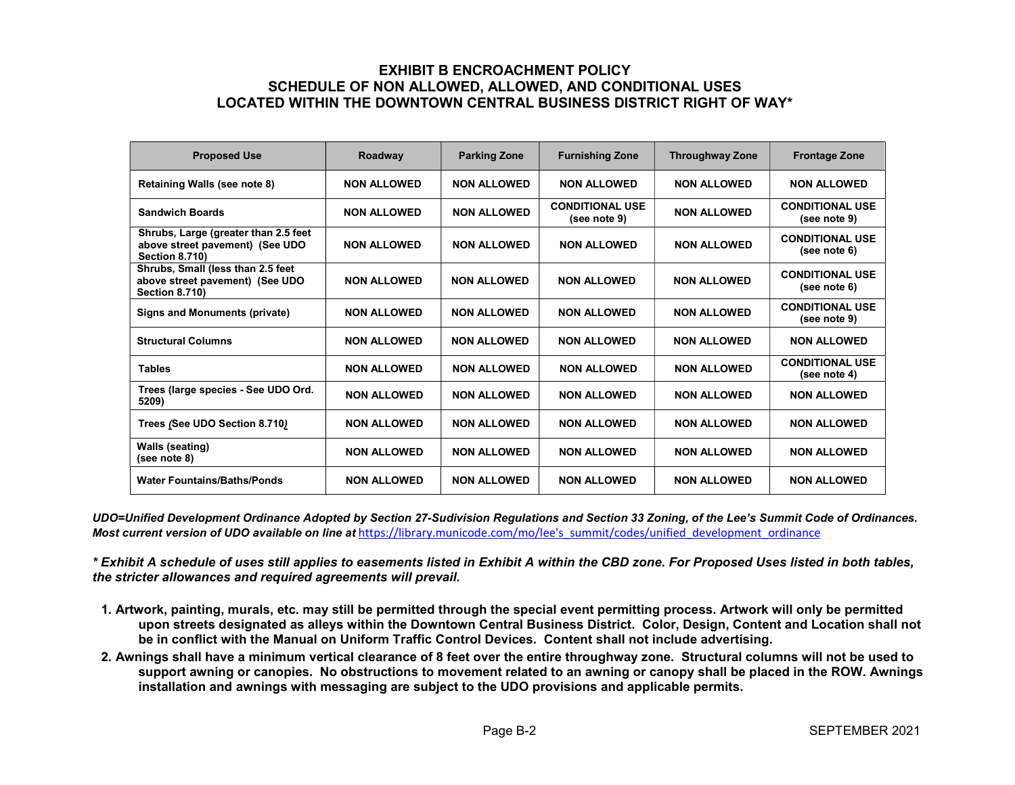## EXHIBIT B ENCROACHMENT POLICY SCHEDULE OF NON ALLOWED, ALLOWED, AND CONDITIONAL USES LOCATED WITHIN THE DOWNTOWN CENTRAL BUSINESS DISTRICT RIGHT OF WAY\*

| <b>Proposed Use</b>                                                                              | Roadway            | <b>Parking Zone</b> | <b>Furnishing Zone</b>                 | <b>Throughway Zone</b> | <b>Frontage Zone</b>                   |
|--------------------------------------------------------------------------------------------------|--------------------|---------------------|----------------------------------------|------------------------|----------------------------------------|
| Retaining Walls (see note 8)                                                                     | <b>NON ALLOWED</b> | <b>NON ALLOWED</b>  | <b>NON ALLOWED</b>                     | <b>NON ALLOWED</b>     | <b>NON ALLOWED</b>                     |
| <b>Sandwich Boards</b>                                                                           | <b>NON ALLOWED</b> | <b>NON ALLOWED</b>  | <b>CONDITIONAL USE</b><br>(see note 9) | <b>NON ALLOWED</b>     | <b>CONDITIONAL USE</b><br>(see note 9) |
| Shrubs, Large (greater than 2.5 feet<br>above street pavement) (See UDO<br><b>Section 8.710)</b> | <b>NON ALLOWED</b> | <b>NON ALLOWED</b>  | <b>NON ALLOWED</b>                     | <b>NON ALLOWED</b>     | <b>CONDITIONAL USE</b><br>(see note 6) |
| Shrubs, Small (less than 2.5 feet<br>above street pavement) (See UDO<br><b>Section 8.710)</b>    | <b>NON ALLOWED</b> | <b>NON ALLOWED</b>  | <b>NON ALLOWED</b>                     | <b>NON ALLOWED</b>     | <b>CONDITIONAL USE</b><br>(see note 6) |
| <b>Signs and Monuments (private)</b>                                                             | <b>NON ALLOWED</b> | <b>NON ALLOWED</b>  | <b>NON ALLOWED</b>                     | <b>NON ALLOWED</b>     | <b>CONDITIONAL USE</b><br>(see note 9) |
| <b>Structural Columns</b>                                                                        | <b>NON ALLOWED</b> | <b>NON ALLOWED</b>  | <b>NON ALLOWED</b>                     | <b>NON ALLOWED</b>     | <b>NON ALLOWED</b>                     |
| <b>Tables</b>                                                                                    | <b>NON ALLOWED</b> | <b>NON ALLOWED</b>  | <b>NON ALLOWED</b>                     | <b>NON ALLOWED</b>     | <b>CONDITIONAL USE</b><br>(see note 4) |
| Trees (large species - See UDO Ord.<br>5209)                                                     | <b>NON ALLOWED</b> | <b>NON ALLOWED</b>  | <b>NON ALLOWED</b>                     | <b>NON ALLOWED</b>     | <b>NON ALLOWED</b>                     |
| Trees (See UDO Section 8.710)                                                                    | <b>NON ALLOWED</b> | <b>NON ALLOWED</b>  | <b>NON ALLOWED</b>                     | <b>NON ALLOWED</b>     | <b>NON ALLOWED</b>                     |
| Walls (seating)<br>(see note 8)                                                                  | <b>NON ALLOWED</b> | <b>NON ALLOWED</b>  | <b>NON ALLOWED</b>                     | <b>NON ALLOWED</b>     | <b>NON ALLOWED</b>                     |
| <b>Water Fountains/Baths/Ponds</b>                                                               | <b>NON ALLOWED</b> | <b>NON ALLOWED</b>  | <b>NON ALLOWED</b>                     | <b>NON ALLOWED</b>     | <b>NON ALLOWED</b>                     |

UDO=Unified Development Ordinance Adopted by Section 27-Sudivision Regulations and Section 33 Zoning, of the Lee's Summit Code of Ordinances. Most current version of UDO available on line at https://library.municode.com/mo/lee's summit/codes/unified development ordinance

\* Exhibit A schedule of uses still applies to easements listed in Exhibit A within the CBD zone. For Proposed Uses listed in both tables, the stricter allowances and required agreements will prevail.

- 1. Artwork, painting, murals, etc. may still be permitted through the special event permitting process. Artwork will only be permitted upon streets designated as alleys within the Downtown Central Business District. Color, Design, Content and Location shall not be in conflict with the Manual on Uniform Traffic Control Devices. Content shall not include advertising.
- 2. Awnings shall have a minimum vertical clearance of 8 feet over the entire throughway zone. Structural columns will not be used to support awning or canopies. No obstructions to movement related to an awning or canopy shall be placed in the ROW. Awnings installation and awnings with messaging are subject to the UDO provisions and applicable permits.